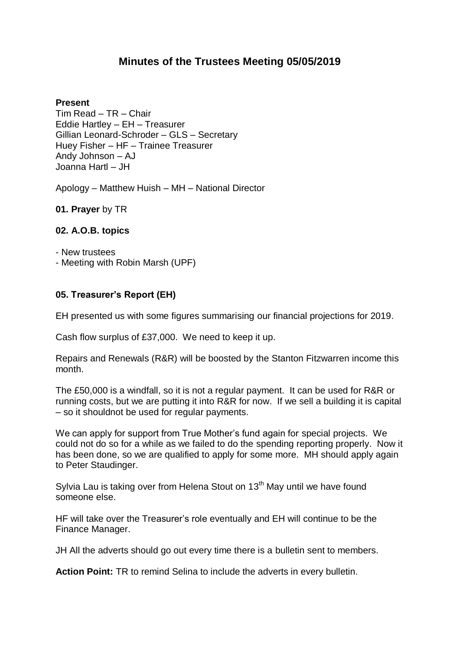# **Minutes of the Trustees Meeting 05/05/2019**

#### **Present**

Tim Read – TR – Chair Eddie Hartley – EH – Treasurer Gillian Leonard-Schroder – GLS – Secretary Huey Fisher – HF – Trainee Treasurer Andy Johnson – AJ Joanna Hartl – JH

Apology – Matthew Huish – MH – National Director

**01. Prayer** by TR

#### **02. A.O.B. topics**

- New trustees - Meeting with Robin Marsh (UPF)

### **05. Treasurer's Report (EH)**

EH presented us with some figures summarising our financial projections for 2019.

Cash flow surplus of £37,000. We need to keep it up.

Repairs and Renewals (R&R) will be boosted by the Stanton Fitzwarren income this month.

The £50,000 is a windfall, so it is not a regular payment. It can be used for R&R or running costs, but we are putting it into R&R for now. If we sell a building it is capital – so it shouldnot be used for regular payments.

We can apply for support from True Mother's fund again for special projects. We could not do so for a while as we failed to do the spending reporting properly. Now it has been done, so we are qualified to apply for some more. MH should apply again to Peter Staudinger.

Sylvia Lau is taking over from Helena Stout on 13<sup>th</sup> May until we have found someone else.

HF will take over the Treasurer's role eventually and EH will continue to be the Finance Manager.

JH All the adverts should go out every time there is a bulletin sent to members.

**Action Point:** TR to remind Selina to include the adverts in every bulletin.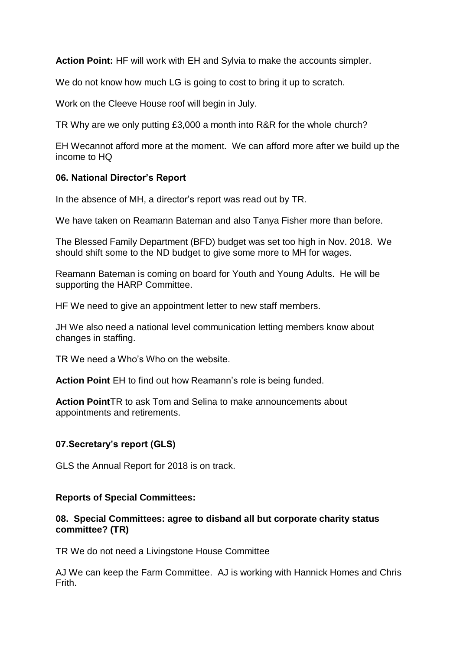**Action Point:** HF will work with EH and Sylvia to make the accounts simpler.

We do not know how much LG is going to cost to bring it up to scratch.

Work on the Cleeve House roof will begin in July.

TR Why are we only putting £3,000 a month into R&R for the whole church?

EH Wecannot afford more at the moment. We can afford more after we build up the income to HQ

#### **06. National Director's Report**

In the absence of MH, a director's report was read out by TR.

We have taken on Reamann Bateman and also Tanya Fisher more than before.

The Blessed Family Department (BFD) budget was set too high in Nov. 2018. We should shift some to the ND budget to give some more to MH for wages.

Reamann Bateman is coming on board for Youth and Young Adults. He will be supporting the HARP Committee.

HF We need to give an appointment letter to new staff members.

JH We also need a national level communication letting members know about changes in staffing.

TR We need a Who's Who on the website.

**Action Point** EH to find out how Reamann's role is being funded.

**Action Point**TR to ask Tom and Selina to make announcements about appointments and retirements.

### **07.Secretary's report (GLS)**

GLS the Annual Report for 2018 is on track.

### **Reports of Special Committees:**

### **08. Special Committees: agree to disband all but corporate charity status committee? (TR)**

TR We do not need a Livingstone House Committee

AJ We can keep the Farm Committee. AJ is working with Hannick Homes and Chris Frith.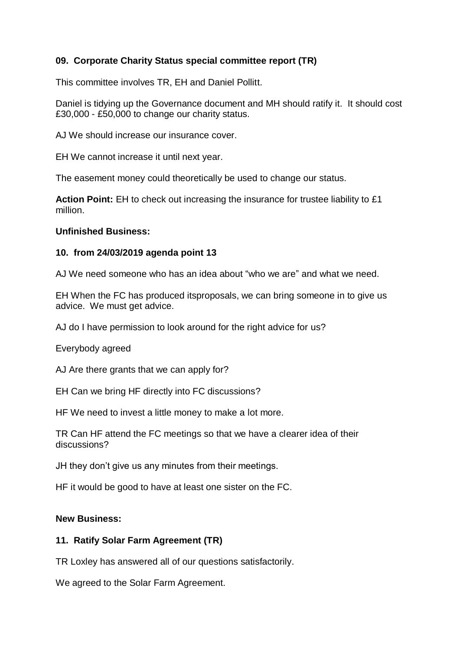# **09. Corporate Charity Status special committee report (TR)**

This committee involves TR, EH and Daniel Pollitt.

Daniel is tidying up the Governance document and MH should ratify it. It should cost £30,000 - £50,000 to change our charity status.

AJ We should increase our insurance cover.

EH We cannot increase it until next year.

The easement money could theoretically be used to change our status.

**Action Point:** EH to check out increasing the insurance for trustee liability to £1 million.

### **Unfinished Business:**

### **10. from 24/03/2019 agenda point 13**

AJ We need someone who has an idea about "who we are" and what we need.

EH When the FC has produced itsproposals, we can bring someone in to give us advice. We must get advice.

AJ do I have permission to look around for the right advice for us?

Everybody agreed

AJ Are there grants that we can apply for?

EH Can we bring HF directly into FC discussions?

HF We need to invest a little money to make a lot more.

TR Can HF attend the FC meetings so that we have a clearer idea of their discussions?

JH they don't give us any minutes from their meetings.

HF it would be good to have at least one sister on the FC.

### **New Business:**

## **11. Ratify Solar Farm Agreement (TR)**

TR Loxley has answered all of our questions satisfactorily.

We agreed to the Solar Farm Agreement.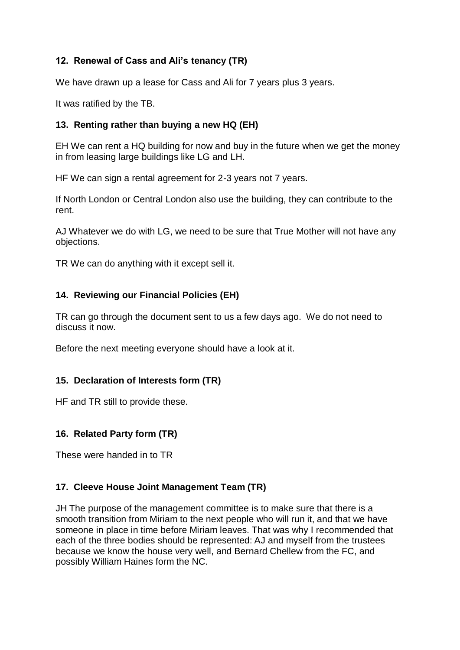# **12. Renewal of Cass and Ali's tenancy (TR)**

We have drawn up a lease for Cass and Ali for 7 years plus 3 years.

It was ratified by the TB.

# **13. Renting rather than buying a new HQ (EH)**

EH We can rent a HQ building for now and buy in the future when we get the money in from leasing large buildings like LG and LH.

HF We can sign a rental agreement for 2-3 years not 7 years.

If North London or Central London also use the building, they can contribute to the rent.

AJ Whatever we do with LG, we need to be sure that True Mother will not have any objections.

TR We can do anything with it except sell it.

## **14. Reviewing our Financial Policies (EH)**

TR can go through the document sent to us a few days ago. We do not need to discuss it now.

Before the next meeting everyone should have a look at it.

### **15. Declaration of Interests form (TR)**

HF and TR still to provide these.

### **16. Related Party form (TR)**

These were handed in to TR

## **17. Cleeve House Joint Management Team (TR)**

JH The purpose of the management committee is to make sure that there is a smooth transition from Miriam to the next people who will run it, and that we have someone in place in time before Miriam leaves. That was why I recommended that each of the three bodies should be represented: AJ and myself from the trustees because we know the house very well, and Bernard Chellew from the FC, and possibly William Haines form the NC.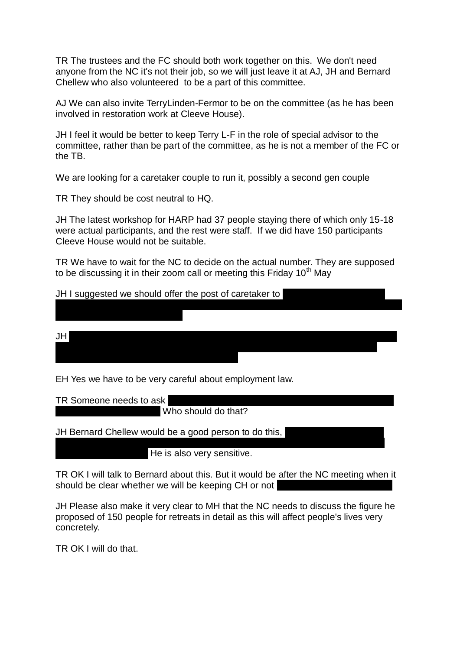TR The trustees and the FC should both work together on this. We don't need anyone from the NC it's not their job, so we will just leave it at AJ, JH and Bernard Chellew who also volunteered to be a part of this committee.

AJ We can also invite TerryLinden-Fermor to be on the committee (as he has been involved in restoration work at Cleeve House).

JH I feel it would be better to keep Terry L-F in the role of special advisor to the committee, rather than be part of the committee, as he is not a member of the FC or the TB.

We are looking for a caretaker couple to run it, possibly a second gen couple

TR They should be cost neutral to HQ.

JH The latest workshop for HARP had 37 people staying there of which only 15-18 were actual participants, and the rest were staff. If we did have 150 participants Cleeve House would not be suitable.

TR We have to wait for the NC to decide on the actual number. They are supposed to be discussing it in their zoom call or meeting this Friday 10<sup>th</sup> May



EH Yes we have to be very careful about employment law.

TR Someone needs to ask Who should do that?

Maria how he was running LH when they took over from him, and he has a good

JH Bernard Chellew would be a good person to do this,

He is also very sensitive.

TR OK I will talk to Bernard about this. But it would be after the NC meeting when it should be clear whether we will be keeping CH or not

JH Please also make it very clear to MH that the NC needs to discuss the figure he proposed of 150 people for retreats in detail as this will affect people's lives very concretely.

TR OK I will do that.